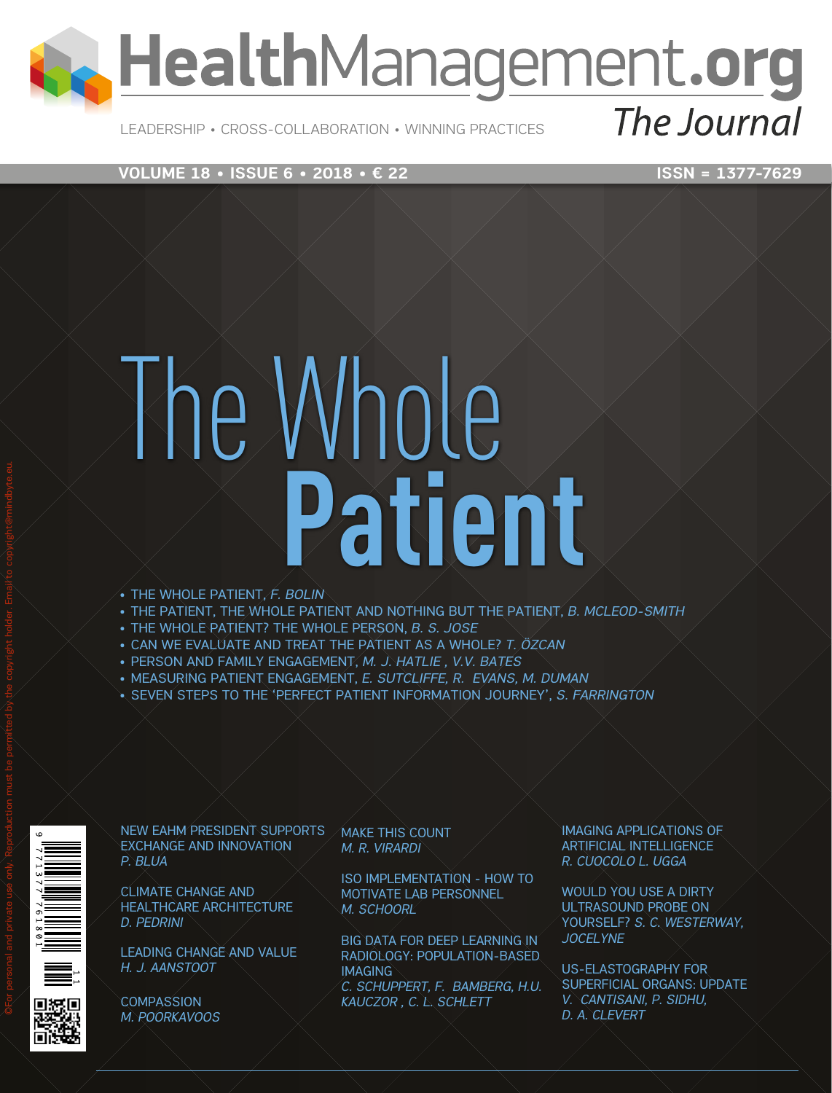

Leadership • Cross-Collaboration • Winning Practices

# **VOLUME 18 • ISSUE 6 • 2018 • € 22** ISSN = 1377-7629

# The Whole **Patient**

- • The Whole Patient, *F. Bolin*
- • The patient, the whole patient and nothing but the patient, *B. McLeod-Smith*
- • The whole patient? The whole person, *B. S. Jose*
- • Can we evaluate and treat the patient as a whole? *T. Özcan*
- • Person and family engagement, *M. J. Hatlie , V.V. Bates*
- • Measuring patient engagement, *E. Sutcliffe, R. Evans, M. Duman*
- • Seven steps to the 'Perfect Patient Information Journey', *S. Farrington*



exchange and innovation *P. Blua*

Climate change and healthcare architecture *D. Pedrini*

LEADING CHANGE AND VALUE *H. J. Aanstoot*



**COMPASSION** *M. Poorkavoos*

New EAHM president supports Make this count *M. R. Virardi*

> ISO implementation - how to MOTIVATE LAB PERSONNEL *M. Schoorl*

Big data for deep learning in radiology: population-based **IMAGING** *C. Schuppert, F. Bamberg, H.U. Kauczor , C. L. Schlett*

Imaging applications of artificial intelligence *R. Cuocolo L. Ugga*

WOULD YOU USE A DIRTY ultrasound probe on yourself? *S. C. Westerway, Jocelyne*

US-elastography for superficial organs: update *V. Cantisani, P. Sidhu, D. A. Clevert*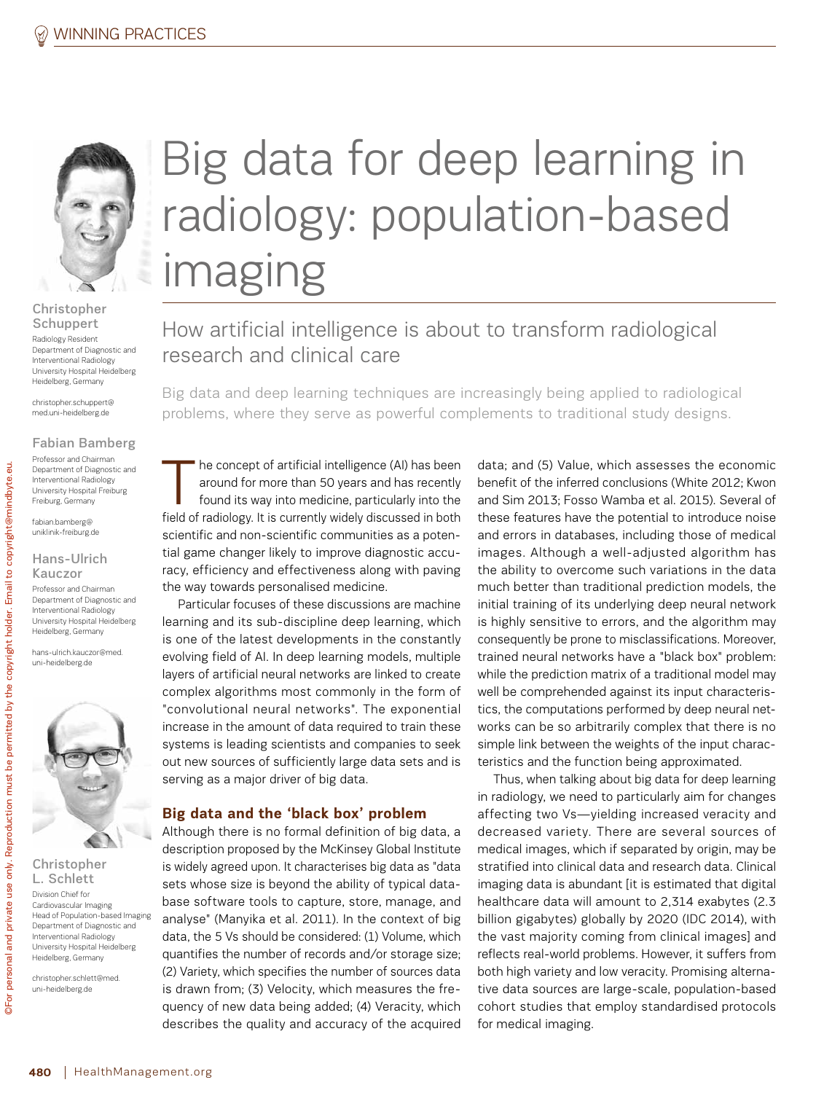

Christopher **Schuppert** 

Radiology Resident Department of Diagnostic and Interventional Radiology University Hospital Heidelberg Heidelberg, Germany

christopher.schuppert@ med.uni-heidelberg.de

Fabian Bamberg Professor and Chairman Department of Diagnostic and Interventional Radiology University Hospital Freiburg Freiburg, Germany

fabian.bamberg@ uniklinik-freiburg.de

#### Hans-Ulrich Kauczor

Professor and Chairman Department of Diagnostic and Interventional Radiology University Hospital Heidelberg Heidelberg, Germany

hans-ulrich.kauczor@med. uni-heidelberg.de



©For personal and private use only. Reproduction must be permitted by the copyright holder. Email to copyright@mindbyte.eu.

and private use only. Reproduction must be permitted by the

personal

©For<sub>1</sub>

copyright holder.

Email to copyright@mindbyte.eu.

Christopher L. Schlett Division Chief for Cardiovascular Imaging Head of Population-based Imaging Department of Diagnostic and Interventional Radiology University Hospital Heidelberg Heidelberg, Germany

christopher.schlett@med. uni-heidelberg.de

# Big data for deep learning in radiology: population-based imaging

How artificial intelligence is about to transform radiological research and clinical care

Big data and deep learning techniques are increasingly being applied to radiological problems, where they serve as powerful complements to traditional study designs.

The concept of artificial intelligence (AI) has been<br>around for more than 50 years and has recently<br>found its way into medicine, particularly into the<br>field of redislocuting surrantly widely discussed in both around for more than 50 years and has recently found its way into medicine, particularly into the field of radiology. It is currently widely discussed in both scientific and non-scientific communities as a potential game changer likely to improve diagnostic accuracy, efficiency and effectiveness along with paving the way towards personalised medicine.

Particular focuses of these discussions are machine learning and its sub-discipline deep learning, which is one of the latest developments in the constantly evolving field of AI. In deep learning models, multiple layers of artificial neural networks are linked to create complex algorithms most commonly in the form of "convolutional neural networks". The exponential increase in the amount of data required to train these systems is leading scientists and companies to seek out new sources of sufficiently large data sets and is serving as a major driver of big data.

## **Big data and the 'black box' problem**

Although there is no formal definition of big data, a description proposed by the McKinsey Global Institute is widely agreed upon. It characterises big data as "data sets whose size is beyond the ability of typical database software tools to capture, store, manage, and analyse" (Manyika et al. 2011). In the context of big data, the 5 Vs should be considered: (1) Volume, which quantifies the number of records and/or storage size; (2) Variety, which specifies the number of sources data is drawn from; (3) Velocity, which measures the frequency of new data being added; (4) Veracity, which describes the quality and accuracy of the acquired data; and (5) Value, which assesses the economic benefit of the inferred conclusions (White 2012; Kwon and Sim 2013; Fosso Wamba et al. 2015). Several of these features have the potential to introduce noise and errors in databases, including those of medical images. Although a well-adjusted algorithm has the ability to overcome such variations in the data much better than traditional prediction models, the initial training of its underlying deep neural network is highly sensitive to errors, and the algorithm may consequently be prone to misclassifications. Moreover, trained neural networks have a "black box" problem: while the prediction matrix of a traditional model may well be comprehended against its input characteristics, the computations performed by deep neural networks can be so arbitrarily complex that there is no simple link between the weights of the input characteristics and the function being approximated.

Thus, when talking about big data for deep learning in radiology, we need to particularly aim for changes affecting two Vs—yielding increased veracity and decreased variety. There are several sources of medical images, which if separated by origin, may be stratified into clinical data and research data. Clinical imaging data is abundant [it is estimated that digital healthcare data will amount to 2,314 exabytes (2.3 billion gigabytes) globally by 2020 (IDC 2014), with the vast majority coming from clinical images] and reflects real-world problems. However, it suffers from both high variety and low veracity. Promising alternative data sources are large-scale, population-based cohort studies that employ standardised protocols for medical imaging.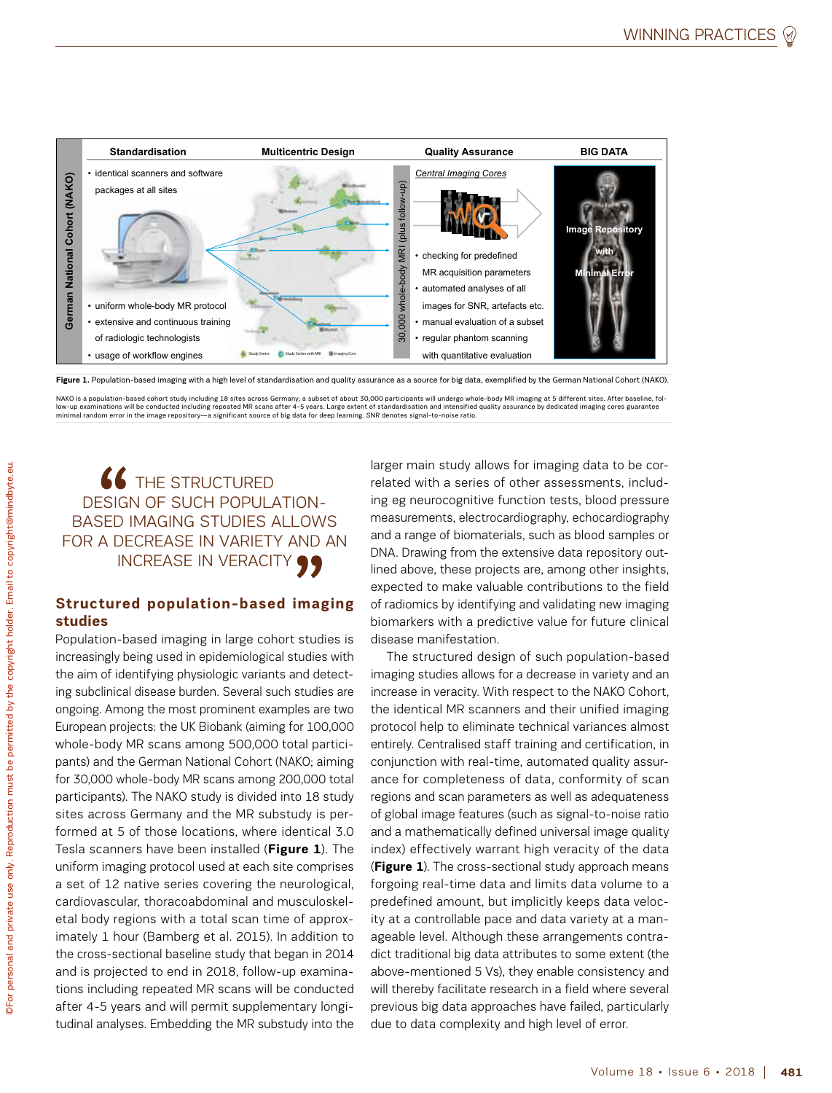

Figure 1. Population-based imaging with a high level of standardisation and quality assurance as a source for big data, exemplified by the German National Cohort (NAKO)

NAKO is a population-based cohort study including 18 sites across Germany; a subset of about 30,000 participants will undergo whole-body MR imaging at 5 different sites. After baseline, fol-<br>low-up examinations will be con

# 66 THE STRUCTURED design of such populationbased imaging studies allows for a decrease in variety and an INCREASE IN VERACITY 99

# **Structured population-based imaging studies**

Population-based imaging in large cohort studies is increasingly being used in epidemiological studies with the aim of identifying physiologic variants and detecting subclinical disease burden. Several such studies are ongoing. Among the most prominent examples are two European projects: the UK Biobank (aiming for 100,000 whole-body MR scans among 500,000 total participants) and the German National Cohort (NAKO; aiming for 30,000 whole-body MR scans among 200,000 total participants). The NAKO study is divided into 18 study sites across Germany and the MR substudy is performed at 5 of those locations, where identical 3.0 Tesla scanners have been installed (**Figure 1**). The uniform imaging protocol used at each site comprises a set of 12 native series covering the neurological, cardiovascular, thoracoabdominal and musculoskeletal body regions with a total scan time of approximately 1 hour (Bamberg et al. 2015). In addition to the cross-sectional baseline study that began in 2014 and is projected to end in 2018, follow-up examinations including repeated MR scans will be conducted after 4-5 years and will permit supplementary longitudinal analyses. Embedding the MR substudy into the

larger main study allows for imaging data to be correlated with a series of other assessments, including eg neurocognitive function tests, blood pressure measurements, electrocardiography, echocardiography and a range of biomaterials, such as blood samples or DNA. Drawing from the extensive data repository outlined above, these projects are, among other insights, expected to make valuable contributions to the field of radiomics by identifying and validating new imaging biomarkers with a predictive value for future clinical disease manifestation.

The structured design of such population-based imaging studies allows for a decrease in variety and an increase in veracity. With respect to the NAKO Cohort, the identical MR scanners and their unified imaging protocol help to eliminate technical variances almost entirely. Centralised staff training and certification, in conjunction with real-time, automated quality assurance for completeness of data, conformity of scan regions and scan parameters as well as adequateness of global image features (such as signal-to-noise ratio and a mathematically defined universal image quality index) effectively warrant high veracity of the data (**Figure 1**). The cross-sectional study approach means forgoing real-time data and limits data volume to a predefined amount, but implicitly keeps data velocity at a controllable pace and data variety at a manageable level. Although these arrangements contradict traditional big data attributes to some extent (the above-mentioned 5 Vs), they enable consistency and will thereby facilitate research in a field where several previous big data approaches have failed, particularly due to data complexity and high level of error.